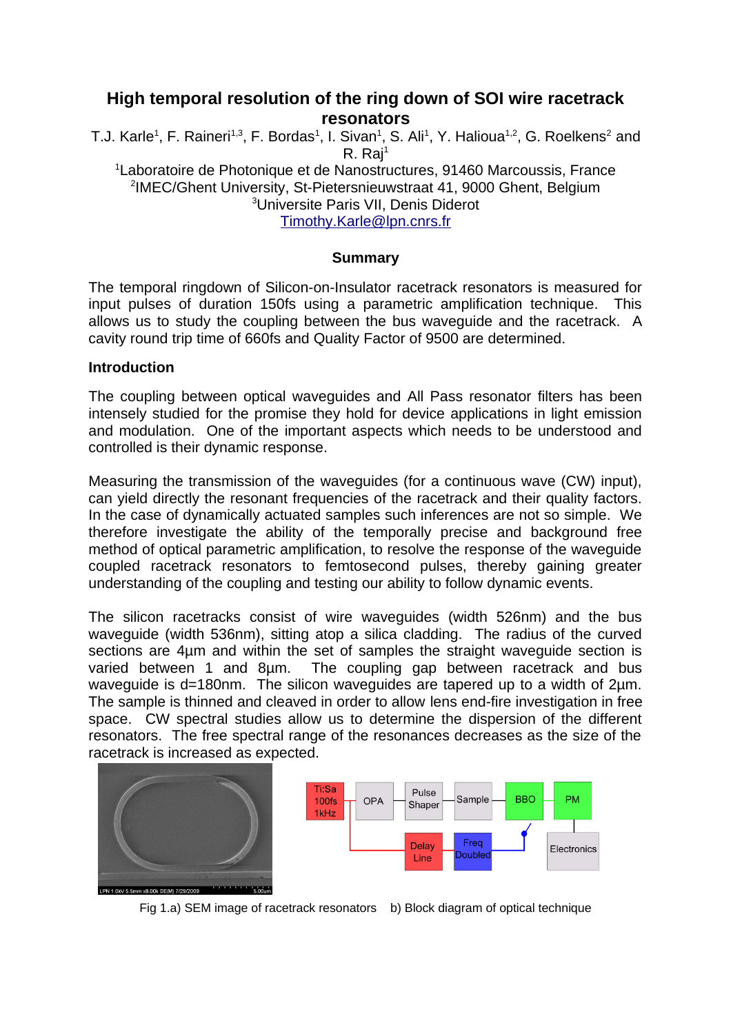# **High temporal resolution of the ring down of SOI wire racetrack resonators**

T.J. Karle<sup>1</sup>, F. Raineri<sup>1,3</sup>, F. Bordas<sup>1</sup>, I. Sivan<sup>1</sup>, S. Ali<sup>1</sup>, Y. Halioua<sup>1,2</sup>, G. Roelkens<sup>2</sup> and  $R. Rai<sup>1</sup>$ <sup>1</sup> Laboratoire de Photonique et de Nanostructures, 91460 Marcoussis, France 2 IMEC/Ghent University, St-Pietersnieuwstraat 41, 9000 Ghent, Belgium <sup>3</sup>Universite Paris VII, Denis Diderot [Timothy.Karle@lpn.cnrs.fr](mailto:Timothy.Karle@lpn.cnrs.fr)

# **Summary**

The temporal ringdown of Silicon-on-Insulator racetrack resonators is measured for input pulses of duration 150fs using a parametric amplification technique. This allows us to study the coupling between the bus waveguide and the racetrack. A cavity round trip time of 660fs and Quality Factor of 9500 are determined.

### **Introduction**

The coupling between optical waveguides and All Pass resonator filters has been intensely studied for the promise they hold for device applications in light emission and modulation. One of the important aspects which needs to be understood and controlled is their dynamic response.

Measuring the transmission of the waveguides (for a continuous wave (CW) input), can yield directly the resonant frequencies of the racetrack and their quality factors. In the case of dynamically actuated samples such inferences are not so simple. We therefore investigate the ability of the temporally precise and background free method of optical parametric amplification, to resolve the response of the waveguide coupled racetrack resonators to femtosecond pulses, thereby gaining greater understanding of the coupling and testing our ability to follow dynamic events.

The silicon racetracks consist of wire waveguides (width 526nm) and the bus waveguide (width 536nm), sitting atop a silica cladding. The radius of the curved sections are 4µm and within the set of samples the straight waveguide section is varied between 1 and 8µm. The coupling gap between racetrack and bus waveguide is d=180nm. The silicon waveguides are tapered up to a width of 2um. The sample is thinned and cleaved in order to allow lens end-fire investigation in free space. CW spectral studies allow us to determine the dispersion of the different resonators. The free spectral range of the resonances decreases as the size of the racetrack is increased as expected.





Fig 1.a) SEM image of racetrack resonators b) Block diagram of optical technique